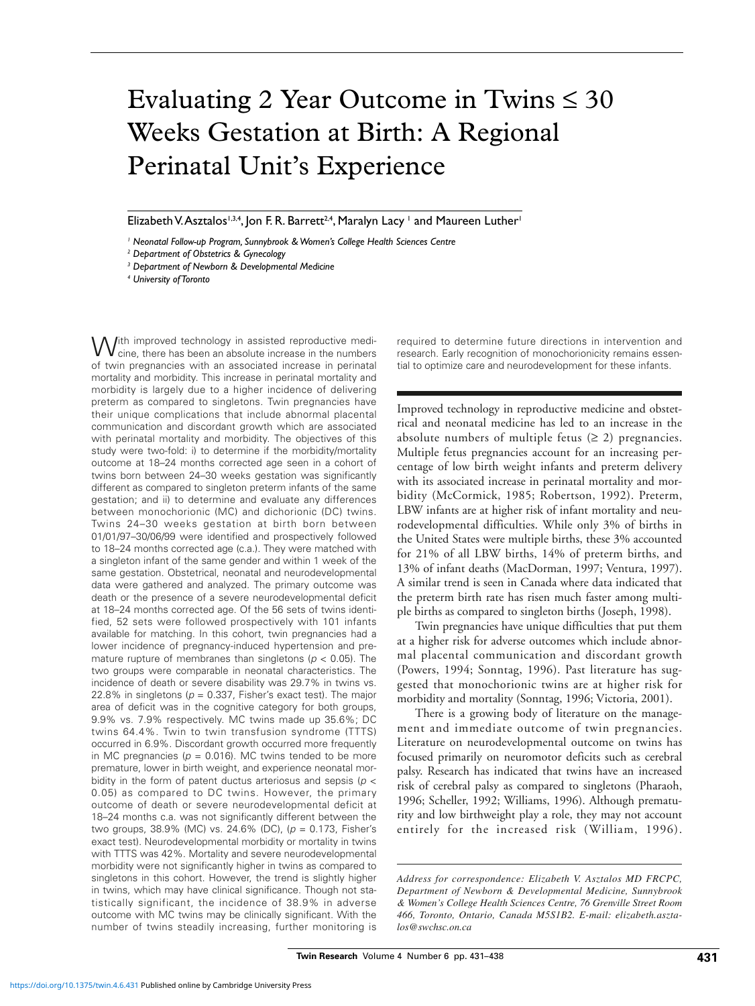# Evaluating 2 Year Outcome in Twins  $\leq 30$ Weeks Gestation at Birth: A Regional Perinatal Unit's Experience

Elizabeth V. Asztalos<sup>1,3,4</sup>, Jon F. R. Barrett<sup>2,4</sup>, Maralyn Lacy<sup>1</sup> and Maureen Luther<sup>1</sup>

*<sup>1</sup> Neonatal Follow-up Program, Sunnybrook & Women's College Health Sciences Centre*

*<sup>2</sup> Department of Obstetrics & Gynecology*

- *<sup>3</sup> Department of Newborn & Developmental Medicine*
- *<sup>4</sup> University of Toronto*

With improved technology in assisted reproductive medi-<br>Vicine, there has been an absolute increase in the numbers of twin pregnancies with an associated increase in perinatal mortality and morbidity. This increase in perinatal mortality and morbidity is largely due to a higher incidence of delivering preterm as compared to singletons. Twin pregnancies have their unique complications that include abnormal placental communication and discordant growth which are associated with perinatal mortality and morbidity. The objectives of this study were two-fold: i) to determine if the morbidity/mortality outcome at 18–24 months corrected age seen in a cohort of twins born between 24–30 weeks gestation was significantly different as compared to singleton preterm infants of the same gestation; and ii) to determine and evaluate any differences between monochorionic (MC) and dichorionic (DC) twins. Twins 24–30 weeks gestation at birth born between 01/01/97–30/06/99 were identified and prospectively followed to 18–24 months corrected age (c.a.). They were matched with a singleton infant of the same gender and within 1 week of the same gestation. Obstetrical, neonatal and neurodevelopmental data were gathered and analyzed. The primary outcome was death or the presence of a severe neurodevelopmental deficit at 18–24 months corrected age. Of the 56 sets of twins identified, 52 sets were followed prospectively with 101 infants available for matching. In this cohort, twin pregnancies had a lower incidence of pregnancy-induced hypertension and premature rupture of membranes than singletons (*p* < 0.05). The two groups were comparable in neonatal characteristics. The incidence of death or severe disability was 29.7% in twins vs. 22.8% in singletons ( $p = 0.337$ , Fisher's exact test). The major area of deficit was in the cognitive category for both groups, 9.9% vs. 7.9% respectively. MC twins made up 35.6%; DC twins 64.4%. Twin to twin transfusion syndrome (TTTS) occurred in 6.9%. Discordant growth occurred more frequently in MC pregnancies ( $p = 0.016$ ). MC twins tended to be more premature, lower in birth weight, and experience neonatal morbidity in the form of patent ductus arteriosus and sepsis (*p* < 0.05) as compared to DC twins. However, the primary outcome of death or severe neurodevelopmental deficit at 18–24 months c.a. was not significantly different between the two groups, 38.9% (MC) vs. 24.6% (DC), (*p* = 0.173, Fisher's exact test). Neurodevelopmental morbidity or mortality in twins with TTTS was 42%. Mortality and severe neurodevelopmental morbidity were not significantly higher in twins as compared to singletons in this cohort. However, the trend is slightly higher in twins, which may have clinical significance. Though not statistically significant, the incidence of 38.9% in adverse outcome with MC twins may be clinically significant. With the number of twins steadily increasing, further monitoring is

required to determine future directions in intervention and research. Early recognition of monochorionicity remains essential to optimize care and neurodevelopment for these infants.

Improved technology in reproductive medicine and obstetrical and neonatal medicine has led to an increase in the absolute numbers of multiple fetus  $(≥ 2)$  pregnancies. Multiple fetus pregnancies account for an increasing percentage of low birth weight infants and preterm delivery with its associated increase in perinatal mortality and morbidity (McCormick, 1985; Robertson, 1992). Preterm, LBW infants are at higher risk of infant mortality and neurodevelopmental difficulties. While only 3% of births in the United States were multiple births, these 3% accounted for 21% of all LBW births, 14% of preterm births, and 13% of infant deaths (MacDorman, 1997; Ventura, 1997). A similar trend is seen in Canada where data indicated that the preterm birth rate has risen much faster among multiple births as compared to singleton births (Joseph, 1998).

Twin pregnancies have unique difficulties that put them at a higher risk for adverse outcomes which include abnormal placental communication and discordant growth (Powers, 1994; Sonntag, 1996). Past literature has suggested that monochorionic twins are at higher risk for morbidity and mortality (Sonntag, 1996; Victoria, 2001).

There is a growing body of literature on the management and immediate outcome of twin pregnancies. Literature on neurodevelopmental outcome on twins has focused primarily on neuromotor deficits such as cerebral palsy. Research has indicated that twins have an increased risk of cerebral palsy as compared to singletons (Pharaoh, 1996; Scheller, 1992; Williams, 1996). Although prematurity and low birthweight play a role, they may not account entirely for the increased risk (William, 1996).

*Address for correspondence: Elizabeth V. Asztalos MD FRCPC, Department of Newborn & Developmental Medicine, Sunnybrook & Women's College Health Sciences Centre, 76 Grenville Street Room 466, Toronto, Ontario, Canada M5S1B2. E-mail: elizabeth.asztalos@swchsc.on.ca*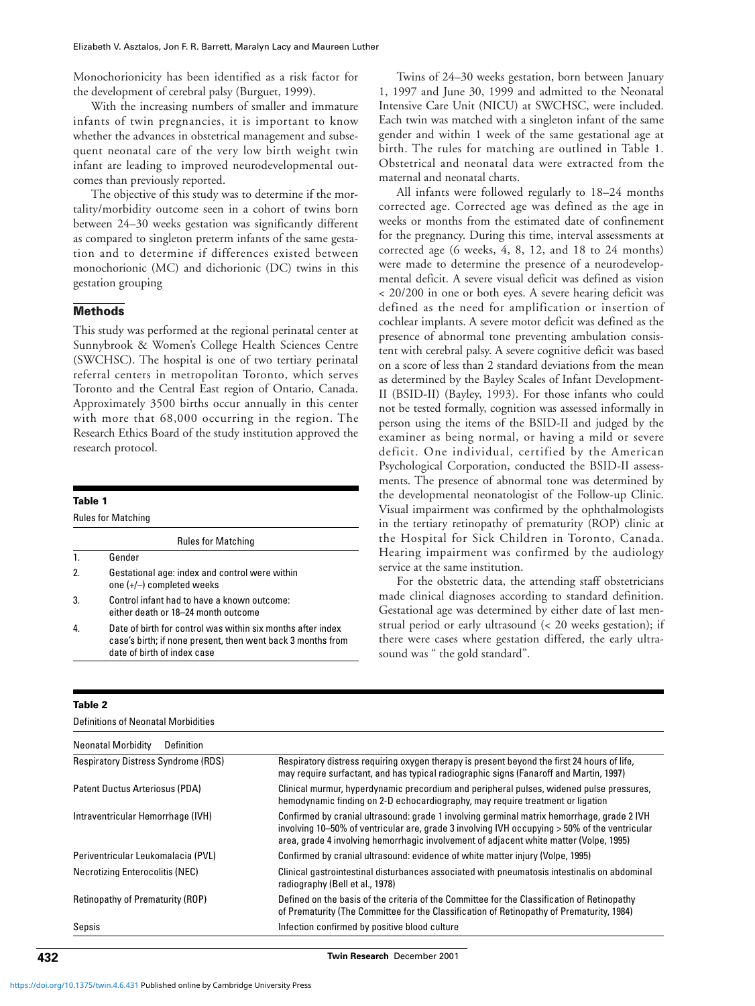Monochorionicity has been identified as a risk factor for the development of cerebral palsy (Burguet, 1999).

With the increasing numbers of smaller and immature infants of twin pregnancies, it is important to know whether the advances in obstetrical management and subsequent neonatal care of the very low birth weight twin infant are leading to improved neurodevelopmental outcomes than previously reported.

The objective of this study was to determine if the mortality/morbidity outcome seen in a cohort of twins born between 24–30 weeks gestation was significantly different as compared to singleton preterm infants of the same gestation and to determine if differences existed between monochorionic (MC) and dichorionic (DC) twins in this gestation grouping

# **Methods**

This study was performed at the regional perinatal center at Sunnybrook & Women's College Health Sciences Centre (SWCHSC). The hospital is one of two tertiary perinatal referral centers in metropolitan Toronto, which serves Toronto and the Central East region of Ontario, Canada. Approximately 3500 births occur annually in this center with more that 68,000 occurring in the region. The Research Ethics Board of the study institution approved the research protocol.

#### **Table 1**

**Table 2**

|    | <b>Rules for Matching</b>                                                                                                                                 |  |  |  |
|----|-----------------------------------------------------------------------------------------------------------------------------------------------------------|--|--|--|
|    | Gender                                                                                                                                                    |  |  |  |
| 2. | Gestational age: index and control were within<br>one $(+/-)$ completed weeks                                                                             |  |  |  |
| 3. | Control infant had to have a known outcome:<br>either death or 18–24 month outcome                                                                        |  |  |  |
|    | Date of birth for control was within six months after index<br>case's birth; if none present, then went back 3 months from<br>date of birth of index case |  |  |  |

Twins of 24–30 weeks gestation, born between January 1, 1997 and June 30, 1999 and admitted to the Neonatal Intensive Care Unit (NICU) at SWCHSC, were included. Each twin was matched with a singleton infant of the same gender and within 1 week of the same gestational age at birth. The rules for matching are outlined in Table 1. Obstetrical and neonatal data were extracted from the maternal and neonatal charts.

All infants were followed regularly to 18–24 months corrected age. Corrected age was defined as the age in weeks or months from the estimated date of confinement for the pregnancy. During this time, interval assessments at corrected age (6 weeks, 4, 8, 12, and 18 to 24 months) were made to determine the presence of a neurodevelopmental deficit. A severe visual deficit was defined as vision < 20/200 in one or both eyes. A severe hearing deficit was defined as the need for amplification or insertion of cochlear implants. A severe motor deficit was defined as the presence of abnormal tone preventing ambulation consistent with cerebral palsy. A severe cognitive deficit was based on a score of less than 2 standard deviations from the mean as determined by the Bayley Scales of Infant Development-II (BSID-II) (Bayley, 1993). For those infants who could not be tested formally, cognition was assessed informally in person using the items of the BSID-II and judged by the examiner as being normal, or having a mild or severe deficit. One individual, certified by the American Psychological Corporation, conducted the BSID-II assessments. The presence of abnormal tone was determined by the developmental neonatologist of the Follow-up Clinic. Visual impairment was confirmed by the ophthalmologists in the tertiary retinopathy of prematurity (ROP) clinic at the Hospital for Sick Children in Toronto, Canada. Hearing impairment was confirmed by the audiology service at the same institution.

For the obstetric data, the attending staff obstetricians made clinical diagnoses according to standard definition. Gestational age was determined by either date of last menstrual period or early ultrasound (< 20 weeks gestation); if there were cases where gestation differed, the early ultrasound was " the gold standard".

| Definitions of Neonatal Morbidities        |                                                                                                                                                                                                                                                                                            |
|--------------------------------------------|--------------------------------------------------------------------------------------------------------------------------------------------------------------------------------------------------------------------------------------------------------------------------------------------|
| <b>Neonatal Morbidity</b><br>Definition    |                                                                                                                                                                                                                                                                                            |
| <b>Respiratory Distress Syndrome (RDS)</b> | Respiratory distress requiring oxygen therapy is present beyond the first 24 hours of life,<br>may require surfactant, and has typical radiographic signs (Fanaroff and Martin, 1997)                                                                                                      |
| Patent Ductus Arteriosus (PDA)             | Clinical murmur, hyperdynamic precordium and peripheral pulses, widened pulse pressures,<br>hemodynamic finding on 2-D echocardiography, may require treatment or ligation                                                                                                                 |
| Intraventricular Hemorrhage (IVH)          | Confirmed by cranial ultrasound: grade 1 involving germinal matrix hemorrhage, grade 2 IVH<br>involving $10-50\%$ of ventricular are, grade 3 involving IVH occupying $>50\%$ of the ventricular<br>area, grade 4 involving hemorrhagic involvement of adjacent white matter (Volpe, 1995) |
| Periventricular Leukomalacia (PVL)         | Confirmed by cranial ultrasound: evidence of white matter injury (Volpe, 1995)                                                                                                                                                                                                             |
| Necrotizing Enterocolitis (NEC)            | Clinical gastrointestinal disturbances associated with pneumatosis intestinalis on abdominal<br>radiography (Bell et al., 1978)                                                                                                                                                            |
| Retinopathy of Prematurity (ROP)           | Defined on the basis of the criteria of the Committee for the Classification of Retinopathy<br>of Prematurity (The Committee for the Classification of Retinopathy of Prematurity, 1984)                                                                                                   |
| Sepsis                                     | Infection confirmed by positive blood culture                                                                                                                                                                                                                                              |

**432 Twin Research** December 2001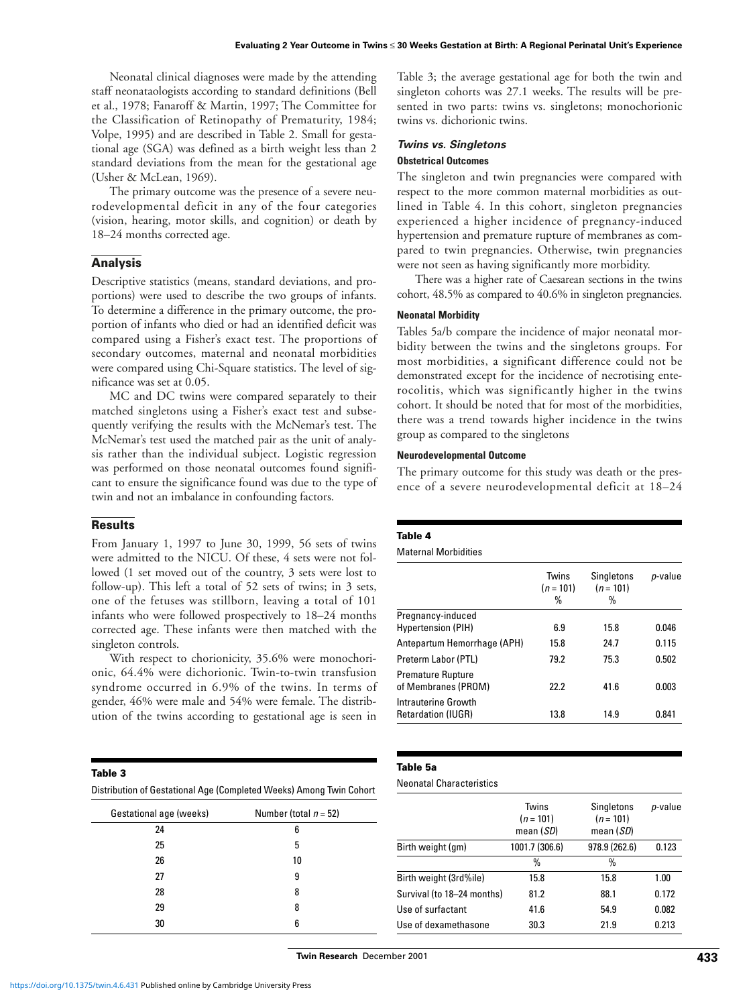Neonatal clinical diagnoses were made by the attending staff neonataologists according to standard definitions (Bell et al., 1978; Fanaroff & Martin, 1997; The Committee for the Classification of Retinopathy of Prematurity, 1984; Volpe, 1995) and are described in Table 2. Small for gestational age (SGA) was defined as a birth weight less than 2 standard deviations from the mean for the gestational age (Usher & McLean, 1969).

The primary outcome was the presence of a severe neurodevelopmental deficit in any of the four categories (vision, hearing, motor skills, and cognition) or death by 18–24 months corrected age.

# **Analysis**

Descriptive statistics (means, standard deviations, and proportions) were used to describe the two groups of infants. To determine a difference in the primary outcome, the proportion of infants who died or had an identified deficit was compared using a Fisher's exact test. The proportions of secondary outcomes, maternal and neonatal morbidities were compared using Chi-Square statistics. The level of significance was set at 0.05.

MC and DC twins were compared separately to their matched singletons using a Fisher's exact test and subsequently verifying the results with the McNemar's test. The McNemar's test used the matched pair as the unit of analysis rather than the individual subject. Logistic regression was performed on those neonatal outcomes found significant to ensure the significance found was due to the type of twin and not an imbalance in confounding factors.

# **Results**

From January 1, 1997 to June 30, 1999, 56 sets of twins were admitted to the NICU. Of these, 4 sets were not followed (1 set moved out of the country, 3 sets were lost to follow-up). This left a total of 52 sets of twins; in 3 sets, one of the fetuses was stillborn, leaving a total of 101 infants who were followed prospectively to 18–24 months corrected age. These infants were then matched with the singleton controls.

With respect to chorionicity, 35.6% were monochorionic, 64.4% were dichorionic. Twin-to-twin transfusion syndrome occurred in 6.9% of the twins. In terms of gender, 46% were male and 54% were female. The distribution of the twins according to gestational age is seen in

#### **Table 3**

Distribution of Gestational Age (Completed Weeks) Among Twin Cohort

Gestational age (weeks) Number (total *n* = 52) 24 6  $25$  5 26 10 27 9 28 8 29 8 30 6

Table 3; the average gestational age for both the twin and singleton cohorts was 27.1 weeks. The results will be presented in two parts: twins vs. singletons; monochorionic twins vs. dichorionic twins.

# *Twins vs. Singletons*

# **Obstetrical Outcomes**

The singleton and twin pregnancies were compared with respect to the more common maternal morbidities as outlined in Table 4. In this cohort, singleton pregnancies experienced a higher incidence of pregnancy-induced hypertension and premature rupture of membranes as compared to twin pregnancies. Otherwise, twin pregnancies were not seen as having significantly more morbidity.

There was a higher rate of Caesarean sections in the twins cohort, 48.5% as compared to 40.6% in singleton pregnancies.

#### **Neonatal Morbidity**

Tables 5a/b compare the incidence of major neonatal morbidity between the twins and the singletons groups. For most morbidities, a significant difference could not be demonstrated except for the incidence of necrotising enterocolitis, which was significantly higher in the twins cohort. It should be noted that for most of the morbidities, there was a trend towards higher incidence in the twins group as compared to the singletons

#### **Neurodevelopmental Outcome**

The primary outcome for this study was death or the presence of a severe neurodevelopmental deficit at 18–24

#### **Table 4**

Maternal Morbidities

|                                                  | Twins<br>$(n = 101)$<br>% | Singletons<br>$(n = 101)$<br>% | <i>p</i> -value |
|--------------------------------------------------|---------------------------|--------------------------------|-----------------|
| Pregnancy-induced                                |                           |                                |                 |
| <b>Hypertension (PIH)</b>                        | 6.9                       | 15.8                           | 0.046           |
| Antepartum Hemorrhage (APH)                      | 15.8                      | 24.7                           | 0.115           |
| Preterm Labor (PTL)                              | 79.2                      | 75.3                           | 0.502           |
| <b>Premature Rupture</b><br>of Membranes (PROM)  | 22.2                      | 41.6                           | 0.003           |
| Intrauterine Growth<br><b>Retardation (IUGR)</b> | 13.8                      | 14.9                           | 0.841           |

#### **Table 5a**

Neonatal Characteristics

|                            | Twins<br>$(n = 101)$<br>mean $(SD)$ | Singletons<br>$(n = 101)$<br>mean ( <i>SD</i> ) | p-value |
|----------------------------|-------------------------------------|-------------------------------------------------|---------|
| Birth weight (gm)          | 1001.7 (306.6)                      | 978.9 (262.6)                                   | 0.123   |
|                            | %                                   | %                                               |         |
| Birth weight (3rd%ile)     | 15.8                                | 15.8                                            | 1.00    |
| Survival (to 18-24 months) | 81.2                                | 88.1                                            | 0.172   |
| Use of surfactant          | 41.6                                | 54.9                                            | 0.082   |
| Use of dexamethasone       | 30.3                                | 21.9                                            | 0.213   |

**Twin Research** December 2001 **433**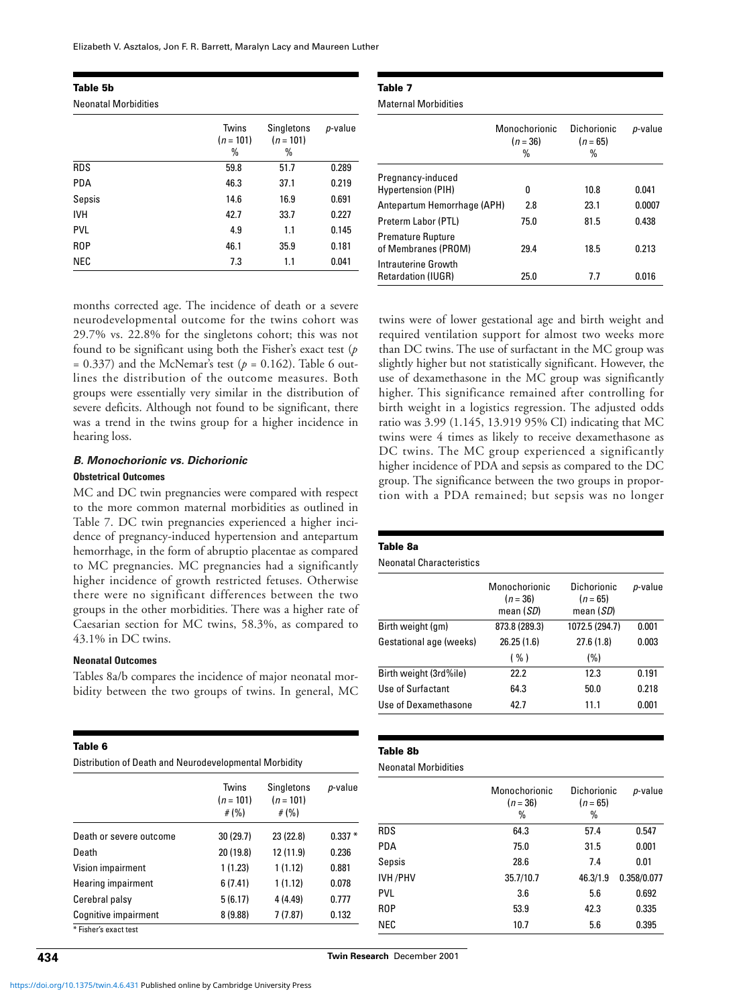Elizabeth V. Asztalos, Jon F. R. Barrett, Maralyn Lacy and Maureen Luther

| Table 5b                    |                           |                                                   |                             | Table 7                                         |                                  |                                |         |
|-----------------------------|---------------------------|---------------------------------------------------|-----------------------------|-------------------------------------------------|----------------------------------|--------------------------------|---------|
| <b>Neonatal Morbidities</b> |                           |                                                   | <b>Maternal Morbidities</b> |                                                 |                                  |                                |         |
|                             | Twins<br>$(n = 101)$<br>% | <b>Singletons</b><br>$(n = 101)$<br>$\frac{0}{0}$ | p-value                     |                                                 | Monochorionic<br>$(n = 36)$<br>% | Dichorionic<br>$(n = 65)$<br>% | p-value |
| <b>RDS</b>                  | 59.8                      | 51.7                                              | 0.289                       |                                                 |                                  |                                |         |
| <b>PDA</b>                  | 46.3                      | 37.1                                              | 0.219                       | Pregnancy-induced<br><b>Hypertension (PIH)</b>  | 0                                | 10.8                           | 0.041   |
| Sepsis                      | 14.6                      | 16.9                                              | 0.691                       | Antepartum Hemorrhage (APH)                     | 2.8                              | 23.1                           | 0.0007  |
| <b>IVH</b>                  | 42.7                      | 33.7                                              | 0.227                       | Preterm Labor (PTL)                             | 75.0                             | 81.5                           | 0.438   |
| <b>PVL</b>                  | 4.9                       | 1.1                                               | 0.145                       |                                                 |                                  |                                |         |
| <b>ROP</b>                  | 46.1                      | 35.9                                              | 0.181                       | <b>Premature Rupture</b><br>of Membranes (PROM) | 29.4                             | 18.5                           | 0.213   |
| <b>NEC</b>                  | 7.3                       | 1.1                                               | 0.041                       | Intrauterine Growth                             |                                  |                                |         |

months corrected age. The incidence of death or a severe neurodevelopmental outcome for the twins cohort was 29.7% vs. 22.8% for the singletons cohort; this was not found to be significant using both the Fisher's exact test (*p*  $= 0.337$ ) and the McNemar's test ( $p = 0.162$ ). Table 6 outlines the distribution of the outcome measures. Both groups were essentially very similar in the distribution of severe deficits. Although not found to be significant, there was a trend in the twins group for a higher incidence in hearing loss.

# *B. Monochorionic vs. Dichorionic* **Obstetrical Outcomes**

MC and DC twin pregnancies were compared with respect to the more common maternal morbidities as outlined in Table 7. DC twin pregnancies experienced a higher incidence of pregnancy-induced hypertension and antepartum hemorrhage, in the form of abruptio placentae as compared to MC pregnancies. MC pregnancies had a significantly higher incidence of growth restricted fetuses. Otherwise there were no significant differences between the two groups in the other morbidities. There was a higher rate of Caesarian section for MC twins, 58.3%, as compared to 43.1% in DC twins.

#### **Neonatal Outcomes**

Tables 8a/b compares the incidence of major neonatal morbidity between the two groups of twins. In general, MC

| Table 6                                                |                               |                                   |          |  |  |  |
|--------------------------------------------------------|-------------------------------|-----------------------------------|----------|--|--|--|
| Distribution of Death and Neurodevelopmental Morbidity |                               |                                   |          |  |  |  |
|                                                        | Twins<br>$(n = 101)$<br># (%) | Singletons<br>$(n = 101)$<br>#(%) | p-value  |  |  |  |
| Death or severe outcome                                | 30(29.7)                      | 23 (22.8)                         | $0.337*$ |  |  |  |
| Death                                                  | 20 (19.8)                     | 12 (11.9)                         | 0.236    |  |  |  |
| Vision impairment                                      | 1(1.23)                       | 1(1.12)                           | 0.881    |  |  |  |
| Hearing impairment                                     | 6(7.41)                       | 1(1.12)                           | 0.078    |  |  |  |
| Cerebral palsy                                         | 5(6.17)                       | 4(4.49)                           | 0.777    |  |  |  |
| Cognitive impairment                                   | 8(9.88)                       | 7(7.87)                           | 0.132    |  |  |  |

twins were of lower gestational age and birth weight and required ventilation support for almost two weeks more than DC twins. The use of surfactant in the MC group was slightly higher but not statistically significant. However, the use of dexamethasone in the MC group was significantly higher. This significance remained after controlling for birth weight in a logistics regression. The adjusted odds ratio was 3.99 (1.145, 13.919 95% CI) indicating that MC twins were 4 times as likely to receive dexamethasone as DC twins. The MC group experienced a significantly higher incidence of PDA and sepsis as compared to the DC group. The significance between the two groups in proportion with a PDA remained; but sepsis was no longer

Retardation (IUGR) 25.0 7.7 0.016

| Table 8a                        |                                            |                                               |                 |
|---------------------------------|--------------------------------------------|-----------------------------------------------|-----------------|
| <b>Neonatal Characteristics</b> |                                            |                                               |                 |
|                                 | Monochorionic<br>$(n = 36)$<br>mean $(SD)$ | <b>Dichorionic</b><br>$(n = 65)$<br>mean (SD) | <i>p</i> -value |
| Birth weight (gm)               | 873.8 (289.3)                              | 1072.5 (294.7)                                | 0.001           |
| Gestational age (weeks)         | 26.25(1.6)                                 | 27.6(1.8)                                     | 0.003           |
|                                 | $($ %)                                     | (%)                                           |                 |
| Birth weight (3rd%ile)          | 22 Z                                       | 12.3                                          | 0.191           |
| Use of Surfactant               | 64.3                                       | 50.0                                          | 0.218           |
| Use of Dexamethasone            | 42.7                                       | 11.1                                          | 0.001           |

# **Table 8b**

Neonatal Morbidities

|          | Monochorionic<br>$(n = 36)$<br>% | Dichorionic<br>$(n = 65)$<br>% | p-value     |
|----------|----------------------------------|--------------------------------|-------------|
| RDS      | 64.3                             | 57.4                           | 0.547       |
| PDA      | 75.0                             | 31.5                           | 0.001       |
| Sepsis   | 28.6                             | 7.4                            | 0.01        |
| IVH /PHV | 35.7/10.7                        | 46.3/1.9                       | 0.358/0.077 |
| PVL      | 3.6                              | 5.6                            | 0.692       |
| ROP      | 53.9                             | 42.3                           | 0.335       |
| NEC      | 10.7                             | 5.6                            | 0.395       |

**434 Twin Research** December 2001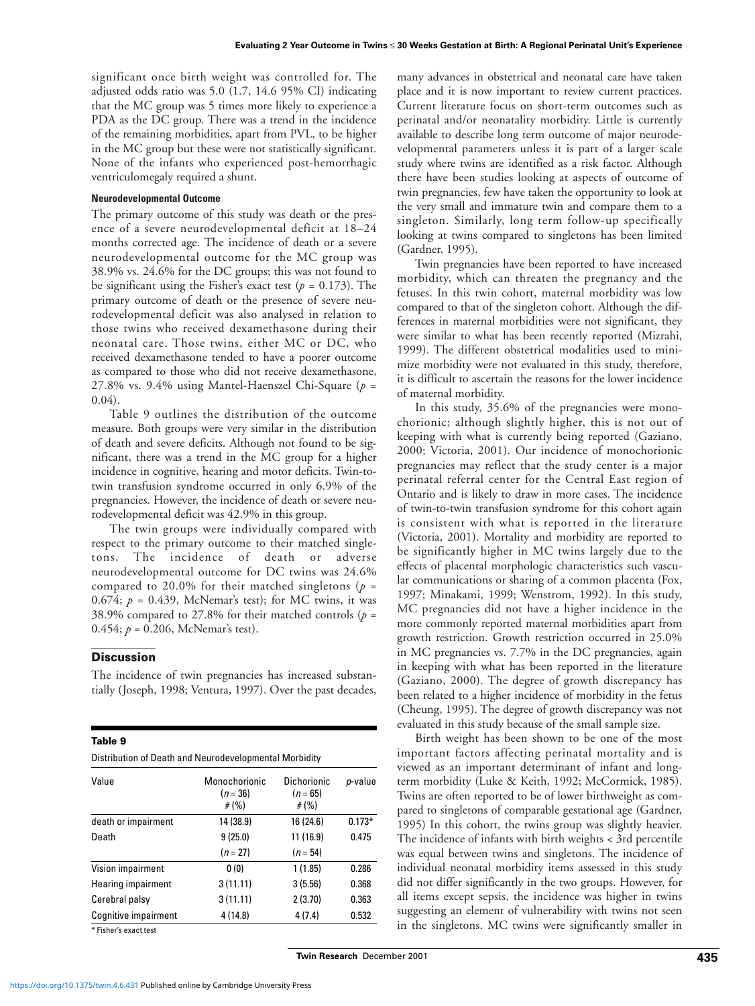significant once birth weight was controlled for. The adjusted odds ratio was 5.0 (1.7, 14.6 95% CI) indicating that the MC group was 5 times more likely to experience a PDA as the DC group. There was a trend in the incidence of the remaining morbidities, apart from PVL, to be higher in the MC group but these were not statistically significant. None of the infants who experienced post-hemorrhagic ventriculomegaly required a shunt.

#### **Neurodevelopmental Outcome**

The primary outcome of this study was death or the presence of a severe neurodevelopmental deficit at 18–24 months corrected age. The incidence of death or a severe neurodevelopmental outcome for the MC group was 38.9% vs. 24.6% for the DC groups; this was not found to be significant using the Fisher's exact test ( $p = 0.173$ ). The primary outcome of death or the presence of severe neurodevelopmental deficit was also analysed in relation to those twins who received dexamethasone during their neonatal care. Those twins, either MC or DC, who received dexamethasone tended to have a poorer outcome as compared to those who did not receive dexamethasone, 27.8% vs. 9.4% using Mantel-Haenszel Chi-Square (*p* = 0.04).

Table 9 outlines the distribution of the outcome measure. Both groups were very similar in the distribution of death and severe deficits. Although not found to be significant, there was a trend in the MC group for a higher incidence in cognitive, hearing and motor deficits. Twin-totwin transfusion syndrome occurred in only 6.9% of the pregnancies. However, the incidence of death or severe neurodevelopmental deficit was 42.9% in this group.

The twin groups were individually compared with respect to the primary outcome to their matched singletons. The incidence of death or adverse neurodevelopmental outcome for DC twins was 24.6% compared to 20.0% for their matched singletons ( $p =$ 0.674;  $p = 0.439$ , McNemar's test); for MC twins, it was 38.9% compared to 27.8% for their matched controls ( $p =$ 0.454;  $p = 0.206$ , McNemar's test).

## **Discussion**

The incidence of twin pregnancies has increased substantially (Joseph, 1998; Ventura, 1997). Over the past decades,

#### **Table 9**

| Distribution of Death and Neurodevelopmental Morbidity |                                      |                                           |          |  |  |
|--------------------------------------------------------|--------------------------------------|-------------------------------------------|----------|--|--|
| Value                                                  | Monochorionic<br>$(n = 36)$<br># (%) | <b>Dichorionic</b><br>$(n = 65)$<br># (%) | p-value  |  |  |
| death or impairment                                    | 14 (38.9)                            | 16 (24.6)                                 | $0.173*$ |  |  |
| Death                                                  | 9(25.0)                              | 11 (16.9)                                 | 0.475    |  |  |
|                                                        | $(n = 27)$                           | $(n = 54)$                                |          |  |  |
| Vision impairment                                      | 0(0)                                 | 1(1.85)                                   | 0.286    |  |  |
| Hearing impairment                                     | 3(11.11)                             | 3(5.56)                                   | 0.368    |  |  |
| Cerebral palsy                                         | 3(11.11)                             | 2(3.70)                                   | 0.363    |  |  |
| Cognitive impairment                                   | 4 (14.8)                             | 4(7.4)                                    | 0.532    |  |  |

\* Fisher's exact test

many advances in obstetrical and neonatal care have taken place and it is now important to review current practices. Current literature focus on short-term outcomes such as perinatal and/or neonatality morbidity. Little is currently available to describe long term outcome of major neurodevelopmental parameters unless it is part of a larger scale study where twins are identified as a risk factor. Although there have been studies looking at aspects of outcome of twin pregnancies, few have taken the opportunity to look at the very small and immature twin and compare them to a singleton. Similarly, long term follow-up specifically looking at twins compared to singletons has been limited (Gardner, 1995).

Twin pregnancies have been reported to have increased morbidity, which can threaten the pregnancy and the fetuses. In this twin cohort, maternal morbidity was low compared to that of the singleton cohort. Although the differences in maternal morbidities were not significant, they were similar to what has been recently reported (Mizrahi, 1999). The different obstetrical modalities used to minimize morbidity were not evaluated in this study, therefore, it is difficult to ascertain the reasons for the lower incidence of maternal morbidity.

In this study, 35.6% of the pregnancies were monochorionic; although slightly higher, this is not out of keeping with what is currently being reported (Gaziano, 2000; Victoria, 2001). Our incidence of monochorionic pregnancies may reflect that the study center is a major perinatal referral center for the Central East region of Ontario and is likely to draw in more cases. The incidence of twin-to-twin transfusion syndrome for this cohort again is consistent with what is reported in the literature (Victoria, 2001). Mortality and morbidity are reported to be significantly higher in MC twins largely due to the effects of placental morphologic characteristics such vascular communications or sharing of a common placenta (Fox, 1997; Minakami, 1999; Wenstrom, 1992). In this study, MC pregnancies did not have a higher incidence in the more commonly reported maternal morbidities apart from growth restriction. Growth restriction occurred in 25.0% in MC pregnancies vs. 7.7% in the DC pregnancies, again in keeping with what has been reported in the literature (Gaziano, 2000). The degree of growth discrepancy has been related to a higher incidence of morbidity in the fetus (Cheung, 1995). The degree of growth discrepancy was not evaluated in this study because of the small sample size.

Birth weight has been shown to be one of the most important factors affecting perinatal mortality and is viewed as an important determinant of infant and longterm morbidity (Luke & Keith, 1992; McCormick, 1985). Twins are often reported to be of lower birthweight as compared to singletons of comparable gestational age (Gardner, 1995) In this cohort, the twins group was slightly heavier. The incidence of infants with birth weights < 3rd percentile was equal between twins and singletons. The incidence of individual neonatal morbidity items assessed in this study did not differ significantly in the two groups. However, for all items except sepsis, the incidence was higher in twins suggesting an element of vulnerability with twins not seen in the singletons. MC twins were significantly smaller in

**Twin Research** December 2001 **435**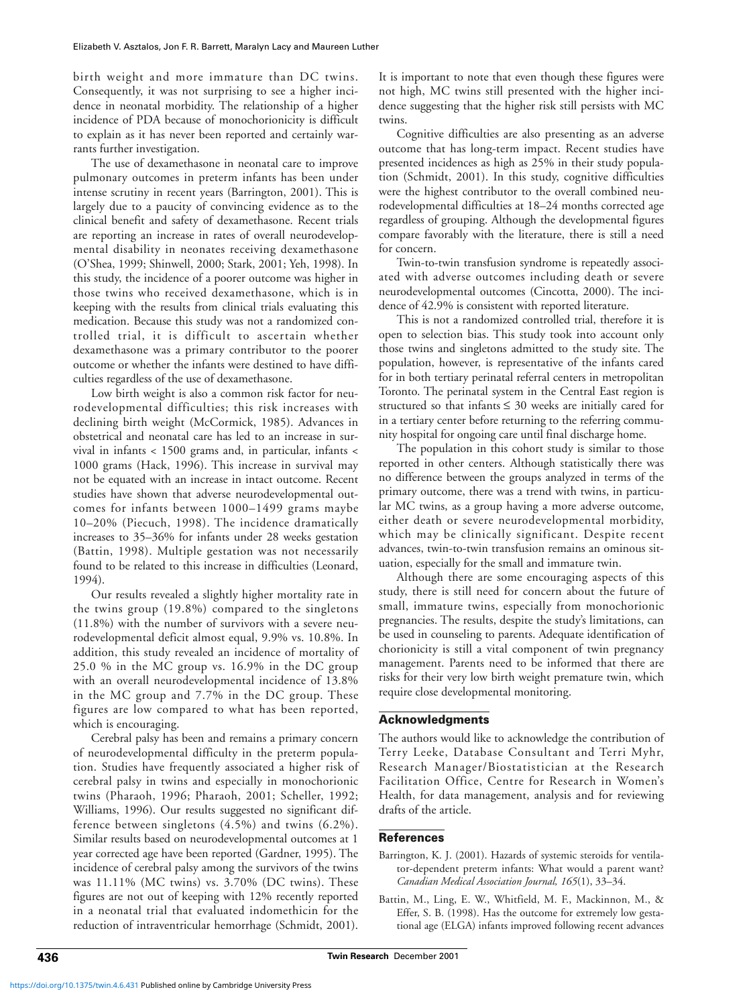birth weight and more immature than DC twins. Consequently, it was not surprising to see a higher incidence in neonatal morbidity. The relationship of a higher incidence of PDA because of monochorionicity is difficult to explain as it has never been reported and certainly warrants further investigation.

The use of dexamethasone in neonatal care to improve pulmonary outcomes in preterm infants has been under intense scrutiny in recent years (Barrington, 2001). This is largely due to a paucity of convincing evidence as to the clinical benefit and safety of dexamethasone. Recent trials are reporting an increase in rates of overall neurodevelopmental disability in neonates receiving dexamethasone (O'Shea, 1999; Shinwell, 2000; Stark, 2001; Yeh, 1998). In this study, the incidence of a poorer outcome was higher in those twins who received dexamethasone, which is in keeping with the results from clinical trials evaluating this medication. Because this study was not a randomized controlled trial, it is difficult to ascertain whether dexamethasone was a primary contributor to the poorer outcome or whether the infants were destined to have difficulties regardless of the use of dexamethasone.

Low birth weight is also a common risk factor for neurodevelopmental difficulties; this risk increases with declining birth weight (McCormick, 1985). Advances in obstetrical and neonatal care has led to an increase in survival in infants < 1500 grams and, in particular, infants < 1000 grams (Hack, 1996). This increase in survival may not be equated with an increase in intact outcome. Recent studies have shown that adverse neurodevelopmental outcomes for infants between 1000–1499 grams maybe 10–20% (Piecuch, 1998). The incidence dramatically increases to 35–36% for infants under 28 weeks gestation (Battin, 1998). Multiple gestation was not necessarily found to be related to this increase in difficulties (Leonard, 1994).

Our results revealed a slightly higher mortality rate in the twins group (19.8%) compared to the singletons (11.8%) with the number of survivors with a severe neurodevelopmental deficit almost equal, 9.9% vs. 10.8%. In addition, this study revealed an incidence of mortality of 25.0 % in the MC group vs. 16.9% in the DC group with an overall neurodevelopmental incidence of 13.8% in the MC group and 7.7% in the DC group. These figures are low compared to what has been reported, which is encouraging.

Cerebral palsy has been and remains a primary concern of neurodevelopmental difficulty in the preterm population. Studies have frequently associated a higher risk of cerebral palsy in twins and especially in monochorionic twins (Pharaoh, 1996; Pharaoh, 2001; Scheller, 1992; Williams, 1996). Our results suggested no significant difference between singletons (4.5%) and twins (6.2%). Similar results based on neurodevelopmental outcomes at 1 year corrected age have been reported (Gardner, 1995). The incidence of cerebral palsy among the survivors of the twins was 11.11% (MC twins) vs. 3.70% (DC twins). These figures are not out of keeping with 12% recently reported in a neonatal trial that evaluated indomethicin for the reduction of intraventricular hemorrhage (Schmidt, 2001).

It is important to note that even though these figures were not high, MC twins still presented with the higher incidence suggesting that the higher risk still persists with MC twins.

Cognitive difficulties are also presenting as an adverse outcome that has long-term impact. Recent studies have presented incidences as high as 25% in their study population (Schmidt, 2001). In this study, cognitive difficulties were the highest contributor to the overall combined neurodevelopmental difficulties at 18–24 months corrected age regardless of grouping. Although the developmental figures compare favorably with the literature, there is still a need for concern.

Twin-to-twin transfusion syndrome is repeatedly associated with adverse outcomes including death or severe neurodevelopmental outcomes (Cincotta, 2000). The incidence of 42.9% is consistent with reported literature.

This is not a randomized controlled trial, therefore it is open to selection bias. This study took into account only those twins and singletons admitted to the study site. The population, however, is representative of the infants cared for in both tertiary perinatal referral centers in metropolitan Toronto. The perinatal system in the Central East region is structured so that infants  $\leq 30$  weeks are initially cared for in a tertiary center before returning to the referring community hospital for ongoing care until final discharge home.

The population in this cohort study is similar to those reported in other centers. Although statistically there was no difference between the groups analyzed in terms of the primary outcome, there was a trend with twins, in particular MC twins, as a group having a more adverse outcome, either death or severe neurodevelopmental morbidity, which may be clinically significant. Despite recent advances, twin-to-twin transfusion remains an ominous situation, especially for the small and immature twin.

Although there are some encouraging aspects of this study, there is still need for concern about the future of small, immature twins, especially from monochorionic pregnancies. The results, despite the study's limitations, can be used in counseling to parents. Adequate identification of chorionicity is still a vital component of twin pregnancy management. Parents need to be informed that there are risks for their very low birth weight premature twin, which require close developmental monitoring.

# **Acknowledgments**

The authors would like to acknowledge the contribution of Terry Leeke, Database Consultant and Terri Myhr, Research Manager/Biostatistician at the Research Facilitation Office, Centre for Research in Women's Health, for data management, analysis and for reviewing drafts of the article.

# **References**

- Barrington, K. J. (2001). Hazards of systemic steroids for ventilator-dependent preterm infants: What would a parent want? *Canadian Medical Association Journal, 165*(1), 33–34.
- Battin, M., Ling, E. W., Whitfield, M. F., Mackinnon, M., & Effer, S. B. (1998). Has the outcome for extremely low gestational age (ELGA) infants improved following recent advances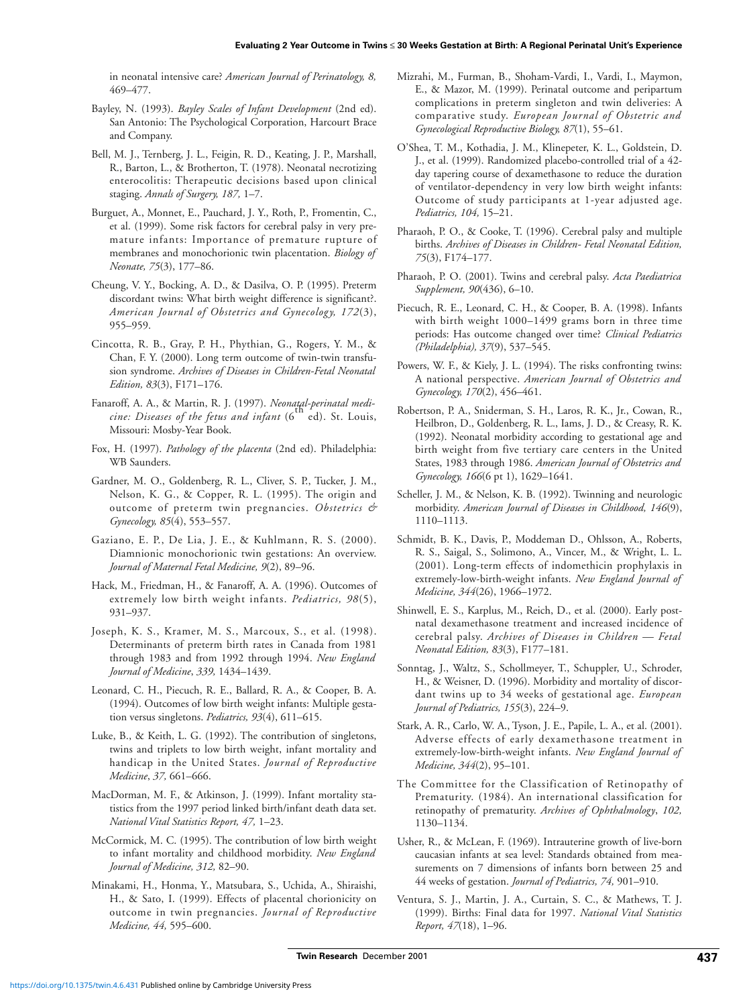in neonatal intensive care? *American Journal of Perinatology, 8,* 469–477.

- Bayley, N. (1993). *Bayley Scales of Infant Development* (2nd ed). San Antonio: The Psychological Corporation, Harcourt Brace and Company.
- Bell, M. J., Ternberg, J. L., Feigin, R. D., Keating, J. P., Marshall, R., Barton, L., & Brotherton, T. (1978). Neonatal necrotizing enterocolitis: Therapeutic decisions based upon clinical staging. *Annals of Surgery, 187,* 1–7.
- Burguet, A., Monnet, E., Pauchard, J. Y., Roth, P., Fromentin, C., et al. (1999). Some risk factors for cerebral palsy in very premature infants: Importance of premature rupture of membranes and monochorionic twin placentation. *Biology of Neonate, 75*(3), 177–86.
- Cheung, V. Y., Bocking, A. D., & Dasilva, O. P. (1995). Preterm discordant twins: What birth weight difference is significant?. *American Journal of Obstetrics and Gynecology, 172*(3), 955–959.
- Cincotta, R. B., Gray, P. H., Phythian, G., Rogers, Y. M., & Chan, F. Y. (2000). Long term outcome of twin-twin transfusion syndrome. *Archives of Diseases in Children-Fetal Neonatal Edition, 83*(3), F171–176.
- Fanaroff, A. A., & Martin, R. J. (1997). *Neonatal-perinatal medicine: Diseases of the fetus and infant* (6<sup>th</sup> ed). St. Louis, Missouri: Mosby-Year Book.
- Fox, H. (1997). *Pathology of the placenta* (2nd ed). Philadelphia: WB Saunders.
- Gardner, M. O., Goldenberg, R. L., Cliver, S. P., Tucker, J. M., Nelson, K. G., & Copper, R. L. (1995). The origin and outcome of preterm twin pregnancies. *Obstetrics & Gynecology, 85*(4), 553–557.
- Gaziano, E. P., De Lia, J. E., & Kuhlmann, R. S. (2000). Diamnionic monochorionic twin gestations: An overview. *Journal of Maternal Fetal Medicine, 9*(2), 89–96.
- Hack, M., Friedman, H., & Fanaroff, A. A. (1996). Outcomes of extremely low birth weight infants. *Pediatrics, 98*(5), 931–937.
- Joseph, K. S., Kramer, M. S., Marcoux, S., et al. (1998). Determinants of preterm birth rates in Canada from 1981 through 1983 and from 1992 through 1994. *New England Journal of Medicine*, *339,* 1434–1439.
- Leonard, C. H., Piecuch, R. E., Ballard, R. A., & Cooper, B. A. (1994). Outcomes of low birth weight infants: Multiple gestation versus singletons. *Pediatrics, 93*(4), 611–615.
- Luke, B., & Keith, L. G. (1992). The contribution of singletons, twins and triplets to low birth weight, infant mortality and handicap in the United States. *Journal of Reproductive Medicine*, *37,* 661–666.
- MacDorman, M. F., & Atkinson, J. (1999). Infant mortality statistics from the 1997 period linked birth/infant death data set. *National Vital Statistics Report, 47,* 1–23.
- McCormick, M. C. (1995). The contribution of low birth weight to infant mortality and childhood morbidity. *New England Journal of Medicine, 312,* 82–90.
- Minakami, H., Honma, Y., Matsubara, S., Uchida, A., Shiraishi, H., & Sato, I. (1999). Effects of placental chorionicity on outcome in twin pregnancies. *Journal of Reproductive Medicine, 44,* 595–600.
- Mizrahi, M., Furman, B., Shoham-Vardi, I., Vardi, I., Maymon, E., & Mazor, M. (1999). Perinatal outcome and peripartum complications in preterm singleton and twin deliveries: A comparative study. *European Journal of Obstetric and Gynecological Reproductive Biology, 87*(1), 55–61.
- O'Shea, T. M., Kothadia, J. M., Klinepeter, K. L., Goldstein, D. J., et al. (1999). Randomized placebo-controlled trial of a 42 day tapering course of dexamethasone to reduce the duration of ventilator-dependency in very low birth weight infants: Outcome of study participants at 1-year adjusted age. *Pediatrics, 104,* 15–21.
- Pharaoh, P. O., & Cooke, T. (1996). Cerebral palsy and multiple births. *Archives of Diseases in Children- Fetal Neonatal Edition, 75*(3), F174–177.
- Pharaoh, P. O. (2001). Twins and cerebral palsy. *Acta Paediatrica Supplement, 90*(436), 6–10.
- Piecuch, R. E., Leonard, C. H., & Cooper, B. A. (1998). Infants with birth weight 1000–1499 grams born in three time periods: Has outcome changed over time? *Clinical Pediatrics (Philadelphia), 37*(9), 537–545.
- Powers, W. F., & Kiely, J. L. (1994). The risks confronting twins: A national perspective. *American Journal of Obstetrics and Gynecology, 170*(2), 456–461.
- Robertson, P. A., Sniderman, S. H., Laros, R. K., Jr., Cowan, R., Heilbron, D., Goldenberg, R. L., Iams, J. D., & Creasy, R. K. (1992). Neonatal morbidity according to gestational age and birth weight from five tertiary care centers in the United States, 1983 through 1986. *American Journal of Obstetrics and Gynecology, 166*(6 pt 1), 1629–1641.
- Scheller, J. M., & Nelson, K. B. (1992). Twinning and neurologic morbidity. *American Journal of Diseases in Childhood, 146*(9), 1110–1113.
- Schmidt, B. K., Davis, P., Moddeman D., Ohlsson, A., Roberts, R. S., Saigal, S., Solimono, A., Vincer, M., & Wright, L. L. (2001). Long-term effects of indomethicin prophylaxis in extremely-low-birth-weight infants. *New England Journal of Medicine, 344*(26), 1966–1972.
- Shinwell, E. S., Karplus, M., Reich, D., et al. (2000). Early postnatal dexamethasone treatment and increased incidence of cerebral palsy. *Archives of Diseases in Children — Fetal Neonatal Edition, 83*(3), F177–181.
- Sonntag, J., Waltz, S., Schollmeyer, T., Schuppler, U., Schroder, H., & Weisner, D. (1996). Morbidity and mortality of discordant twins up to 34 weeks of gestational age. *European Journal of Pediatrics, 155*(3), 224–9.
- Stark, A. R., Carlo, W. A., Tyson, J. E., Papile, L. A., et al. (2001). Adverse effects of early dexamethasone treatment in extremely-low-birth-weight infants. *New England Journal of Medicine, 344*(2), 95–101.
- The Committee for the Classification of Retinopathy of Prematurity. (1984). An international classification for retinopathy of prematurity. *Archives of Ophthalmology*, *102,* 1130–1134.
- Usher, R., & McLean, F. (1969). Intrauterine growth of live-born caucasian infants at sea level: Standards obtained from measurements on 7 dimensions of infants born between 25 and 44 weeks of gestation. *Journal of Pediatrics, 74,* 901–910.
- Ventura, S. J., Martin, J. A., Curtain, S. C., & Mathews, T. J. (1999). Births: Final data for 1997. *National Vital Statistics Report, 47*(18), 1–96.

**Twin Research** December 2001 **437**